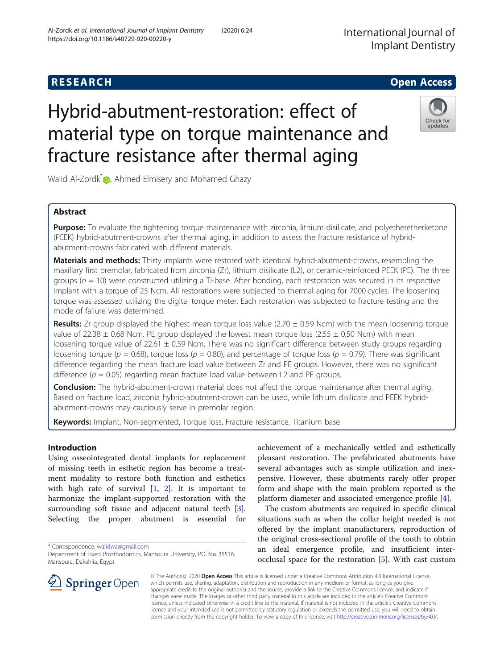## **RESEARCH CHE Open Access**

# Hybrid-abutment-restoration: effect of material type on torque maintenance and fracture resistance after thermal aging

Walid Al-Zordk<sup>[\\*](http://orcid.org/0000-0002-8119-7604)</sup><sup>1</sup>, Ahmed Elmisery and Mohamed Ghazy

## Abstract

Purpose: To evaluate the tightening torque maintenance with zirconia, lithium disilicate, and polyetheretherketone (PEEK) hybrid-abutment-crowns after thermal aging, in addition to assess the fracture resistance of hybridabutment-crowns fabricated with different materials.

Materials and methods: Thirty implants were restored with identical hybrid-abutment-crowns, resembling the maxillary first premolar, fabricated from zirconia (Zr), lithium disilicate (L2), or ceramic-reinforced PEEK (PE). The three groups ( $n = 10$ ) were constructed utilizing a Ti-base. After bonding, each restoration was secured in its respective implant with a torque of 25 Ncm. All restorations were subjected to thermal aging for 7000 cycles. The loosening torque was assessed utilizing the digital torque meter. Each restoration was subjected to fracture testing and the mode of failure was determined.

**Results:** Zr group displayed the highest mean torque loss value (2.70  $\pm$  0.59 Ncm) with the mean loosening torque value of 22.38  $\pm$  0.68 Ncm. PE group displayed the lowest mean torque loss (2.55  $\pm$  0.50 Ncm) with mean loosening torque value of 22.61 ± 0.59 Ncm. There was no significant difference between study groups regarding loosening torque ( $p = 0.68$ ), torque loss ( $p = 0.80$ ), and percentage of torque loss ( $p = 0.79$ ). There was significant difference regarding the mean fracture load value between Zr and PE groups. However, there was no significant difference ( $p = 0.05$ ) regarding mean fracture load value between L2 and PE groups.

Conclusion: The hybrid-abutment-crown material does not affect the torque maintenance after thermal aging. Based on fracture load, zirconia hybrid-abutment-crown can be used, while lithium disilicate and PEEK hybridabutment-crowns may cautiously serve in premolar region.

Keywords: Implant, Non-segmented, Torque loss, Fracture resistance, Titanium base

## Introduction

Using osseointegrated dental implants for replacement of missing teeth in esthetic region has become a treatment modality to restore both function and esthetics with high rate of survival  $[1, 2]$  $[1, 2]$  $[1, 2]$  $[1, 2]$ . It is important to harmonize the implant-supported restoration with the surrounding soft tissue and adjacent natural teeth [\[3](#page-5-0)]. Selecting the proper abutment is essential for

\* Correspondence: [walidwa@gmail.com](mailto:walidwa@gmail.com)

achievement of a mechanically settled and esthetically pleasant restoration. The prefabricated abutments have several advantages such as simple utilization and inexpensive. However, these abutments rarely offer proper form and shape with the main problem reported is the platform diameter and associated emergence profile [\[4](#page-5-0)].

The custom abutments are required in specific clinical situations such as when the collar height needed is not offered by the implant manufacturers, reproduction of the original cross-sectional profile of the tooth to obtain an ideal emergence profile, and insufficient interocclusal space for the restoration [\[5](#page-5-0)]. With cast custom

© The Author(s). 2020 Open Access This article is licensed under a Creative Commons Attribution 4.0 International License, which permits use, sharing, adaptation, distribution and reproduction in any medium or format, as long as you give appropriate credit to the original author(s) and the source, provide a link to the Creative Commons licence, and indicate if changes were made. The images or other third party material in this article are included in the article's Creative Commons licence, unless indicated otherwise in a credit line to the material. If material is not included in the article's Creative Commons licence and your intended use is not permitted by statutory regulation or exceeds the permitted use, you will need to obtain permission directly from the copyright holder. To view a copy of this licence, visit <http://creativecommons.org/licenses/by/4.0/>.





updates





Department of Fixed Prosthodontics, Mansoura University, PO Box 35516, Mansoura, Dakahlia, Egypt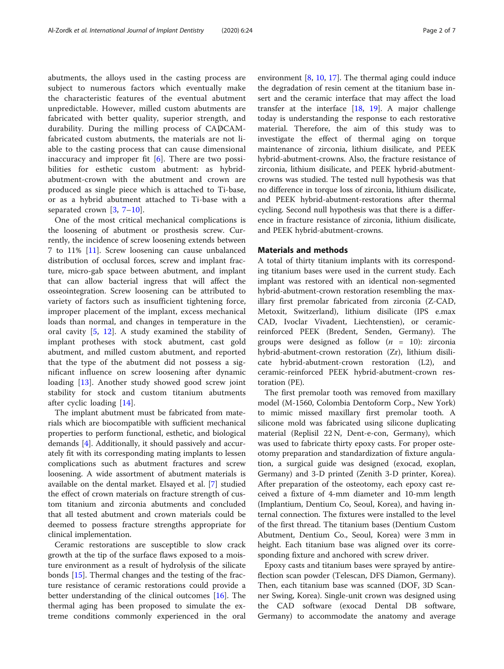abutments, the alloys used in the casting process are subject to numerous factors which eventually make the characteristic features of the eventual abutment unpredictable. However, milled custom abutments are fabricated with better quality, superior strength, and durability. During the milling process of CADCAMfabricated custom abutments, the materials are not liable to the casting process that can cause dimensional inaccuracy and improper fit  $[6]$  $[6]$ . There are two possibilities for esthetic custom abutment: as hybridabutment-crown with the abutment and crown are produced as single piece which is attached to Ti-base, or as a hybrid abutment attached to Ti-base with a separated crown  $[3, 7-10]$  $[3, 7-10]$  $[3, 7-10]$  $[3, 7-10]$  $[3, 7-10]$  $[3, 7-10]$ .

One of the most critical mechanical complications is the loosening of abutment or prosthesis screw. Currently, the incidence of screw loosening extends between 7 to 11% [\[11](#page-6-0)]. Screw loosening can cause unbalanced distribution of occlusal forces, screw and implant fracture, micro-gab space between abutment, and implant that can allow bacterial ingress that will affect the osseointegration. Screw loosening can be attributed to variety of factors such as insufficient tightening force, improper placement of the implant, excess mechanical loads than normal, and changes in temperature in the oral cavity [[5,](#page-5-0) [12](#page-6-0)]. A study examined the stability of implant protheses with stock abutment, cast gold abutment, and milled custom abutment, and reported that the type of the abutment did not possess a significant influence on screw loosening after dynamic loading [\[13](#page-6-0)]. Another study showed good screw joint stability for stock and custom titanium abutments after cyclic loading [[14](#page-6-0)].

The implant abutment must be fabricated from materials which are biocompatible with sufficient mechanical properties to perform functional, esthetic, and biological demands [[4\]](#page-5-0). Additionally, it should passively and accurately fit with its corresponding mating implants to lessen complications such as abutment fractures and screw loosening. A wide assortment of abutment materials is available on the dental market. Elsayed et al. [\[7](#page-5-0)] studied the effect of crown materials on fracture strength of custom titanium and zirconia abutments and concluded that all tested abutment and crown materials could be deemed to possess fracture strengths appropriate for clinical implementation.

Ceramic restorations are susceptible to slow crack growth at the tip of the surface flaws exposed to a moisture environment as a result of hydrolysis of the silicate bonds [[15\]](#page-6-0). Thermal changes and the testing of the fracture resistance of ceramic restorations could provide a better understanding of the clinical outcomes [\[16](#page-6-0)]. The thermal aging has been proposed to simulate the extreme conditions commonly experienced in the oral

environment  $[8, 10, 17]$  $[8, 10, 17]$  $[8, 10, 17]$  $[8, 10, 17]$  $[8, 10, 17]$  $[8, 10, 17]$ . The thermal aging could induce the degradation of resin cement at the titanium base insert and the ceramic interface that may affect the load transfer at the interface  $[18, 19]$  $[18, 19]$  $[18, 19]$  $[18, 19]$ . A major challenge today is understanding the response to each restorative material. Therefore, the aim of this study was to investigate the effect of thermal aging on torque maintenance of zirconia, lithium disilicate, and PEEK hybrid-abutment-crowns. Also, the fracture resistance of zirconia, lithium disilicate, and PEEK hybrid-abutmentcrowns was studied. The tested null hypothesis was that no difference in torque loss of zirconia, lithium disilicate, and PEEK hybrid-abutment-restorations after thermal cycling. Second null hypothesis was that there is a difference in fracture resistance of zirconia, lithium disilicate, and PEEK hybrid-abutment-crowns.

#### Materials and methods

A total of thirty titanium implants with its corresponding titanium bases were used in the current study. Each implant was restored with an identical non-segmented hybrid-abutment-crown restoration resembling the maxillary first premolar fabricated from zirconia (Z-CAD, Metoxit, Switzerland), lithium disilicate (IPS e.max CAD, Ivoclar Vivadent, Liechtenstien), or ceramicreinforced PEEK (Bredent, Senden, Germany). The groups were designed as follow  $(n = 10)$ : zirconia hybrid-abutment-crown restoration (Zr), lithium disilicate hybrid-abutment-crown restoration (L2), and ceramic-reinforced PEEK hybrid-abutment-crown restoration (PE).

The first premolar tooth was removed from maxillary model (M-1560, Colombia Dentoform Corp., New York) to mimic missed maxillary first premolar tooth. A silicone mold was fabricated using silicone duplicating material (Replisil 22 N, Dent-e-con, Germany), which was used to fabricate thirty epoxy casts. For proper osteotomy preparation and standardization of fixture angulation, a surgical guide was designed (exocad, exoplan, Germany) and 3-D printed (Zenith 3-D printer, Korea). After preparation of the osteotomy, each epoxy cast received a fixture of 4-mm diameter and 10-mm length (Implantium, Dentium Co, Seoul, Korea), and having internal connection. The fixtures were installed to the level of the first thread. The titanium bases (Dentium Custom Abutment, Dentium Co., Seoul, Korea) were 3 mm in height. Each titanium base was aligned over its corresponding fixture and anchored with screw driver.

Epoxy casts and titanium bases were sprayed by antireflection scan powder (Telescan, DFS Diamon, Germany). Then, each titanium base was scanned (DOF, 3D Scanner Swing, Korea). Single-unit crown was designed using the CAD software (exocad Dental DB software, Germany) to accommodate the anatomy and average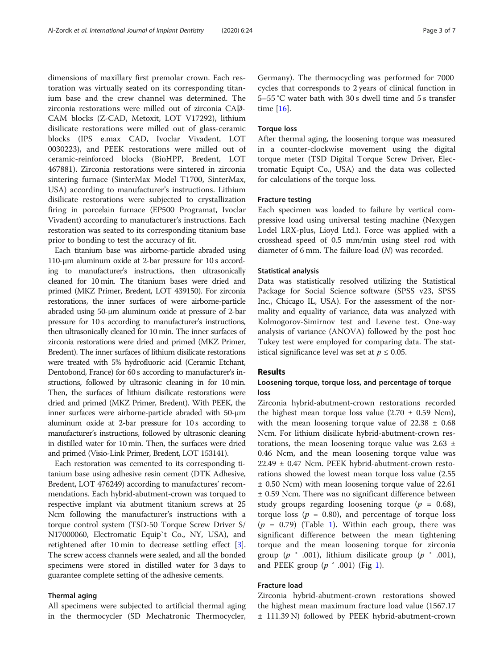dimensions of maxillary first premolar crown. Each restoration was virtually seated on its corresponding titanium base and the crew channel was determined. The zirconia restorations were milled out of zirconia CAD-CAM blocks (Z-CAD, Metoxit, LOT V17292), lithium disilicate restorations were milled out of glass-ceramic blocks (IPS e.max CAD, Ivoclar Vivadent, LOT 0030223), and PEEK restorations were milled out of ceramic-reinforced blocks (BioHPP, Bredent, LOT 467881). Zirconia restorations were sintered in zirconia sintering furnace (SinterMax Model T1700, SinterMax, USA) according to manufacturer's instructions. Lithium disilicate restorations were subjected to crystallization firing in porcelain furnace (EP500 Programat, Ivoclar Vivadent) according to manufacturer's instructions. Each restoration was seated to its corresponding titanium base prior to bonding to test the accuracy of fit.

Each titanium base was airborne-particle abraded using 110-μm aluminum oxide at 2-bar pressure for 10 s according to manufacturer's instructions, then ultrasonically cleaned for 10 min. The titanium bases were dried and primed (MKZ Primer, Bredent, LOT 439150). For zirconia restorations, the inner surfaces of were airborne-particle abraded using 50-μm aluminum oxide at pressure of 2-bar pressure for 10 s according to manufacturer's instructions, then ultrasonically cleaned for 10 min. The inner surfaces of zirconia restorations were dried and primed (MKZ Primer, Bredent). The inner surfaces of lithium disilicate restorations were treated with 5% hydrofluoric acid (Ceramic Etchant, Dentobond, France) for 60 s according to manufacturer's instructions, followed by ultrasonic cleaning in for 10 min. Then, the surfaces of lithium disilicate restorations were dried and primed (MKZ Primer, Bredent). With PEEK, the inner surfaces were airborne-particle abraded with 50-μm aluminum oxide at 2-bar pressure for 10 s according to manufacturer's instructions, followed by ultrasonic cleaning in distilled water for 10 min. Then, the surfaces were dried and primed (Visio-Link Primer, Bredent, LOT 153141).

Each restoration was cemented to its corresponding titanium base using adhesive resin cement (DTK Adhesive, Bredent, LOT 476249) according to manufactures' recommendations. Each hybrid-abutment-crown was torqued to respective implant via abutment titanium screws at 25 Ncm following the manufacturer's instructions with a torque control system (TSD-50 Torque Screw Driver S/ N17000060, Electromatic Equip`t Co., NY, USA), and retightened after 10 min to decrease settling effect [[3](#page-5-0)]. The screw access channels were sealed, and all the bonded specimens were stored in distilled water for 3 days to guarantee complete setting of the adhesive cements.

### Thermal aging

All specimens were subjected to artificial thermal aging in the thermocycler (SD Mechatronic Thermocycler,

Germany). The thermocycling was performed for 7000 cycles that corresponds to 2 years of clinical function in 5–55 °C water bath with 30 s dwell time and 5 s transfer time [\[16\]](#page-6-0).

#### Torque loss

After thermal aging, the loosening torque was measured in a counter-clockwise movement using the digital torque meter (TSD Digital Torque Screw Driver, Electromatic Equipt Co., USA) and the data was collected for calculations of the torque loss.

#### Fracture testing

Each specimen was loaded to failure by vertical compressive load using universal testing machine (Nexygen Lodel LRX-plus, Lioyd Ltd.). Force was applied with a crosshead speed of 0.5 mm/min using steel rod with diameter of 6 mm. The failure load (N) was recorded.

#### Statistical analysis

Data was statistically resolved utilizing the Statistical Package for Social Science software (SPSS v23, SPSS Inc., Chicago IL, USA). For the assessment of the normality and equality of variance, data was analyzed with Kolmogorov-Simirnov test and Levene test. One-way analysis of variance (ANOVA) followed by the post hoc Tukey test were employed for comparing data. The statistical significance level was set at  $p \leq 0.05$ .

#### Results

## Loosening torque, torque loss, and percentage of torque loss

Zirconia hybrid-abutment-crown restorations recorded the highest mean torque loss value  $(2.70 \pm 0.59 \text{ Ncm})$ , with the mean loosening torque value of  $22.38 \pm 0.68$ Ncm. For lithium disilicate hybrid-abutment-crown restorations, the mean loosening torque value was  $2.63 \pm$ 0.46 Ncm, and the mean loosening torque value was 22.49 ± 0.47 Ncm. PEEK hybrid-abutment-crown restorations showed the lowest mean torque loss value (2.55 ± 0.50 Ncm) with mean loosening torque value of 22.61 ± 0.59 Ncm. There was no significant difference between study groups regarding loosening torque ( $p = 0.68$ ), torque loss ( $p = 0.80$ ), and percentage of torque loss  $(p = 0.79)$  (Table [1\)](#page-3-0). Within each group, there was significant difference between the mean tightening torque and the mean loosening torque for zirconia group ( $p \sim .001$ ), lithium disilicate group ( $p \sim .001$ ), and PEEK group  $(p \text{ }^{\sim} 0.001)$  $(p \text{ }^{\sim} 0.001)$  $(p \text{ }^{\sim} 0.001)$  (Fig 1).

## Fracture load

Zirconia hybrid-abutment-crown restorations showed the highest mean maximum fracture load value (1567.17 ± 111.39 N) followed by PEEK hybrid-abutment-crown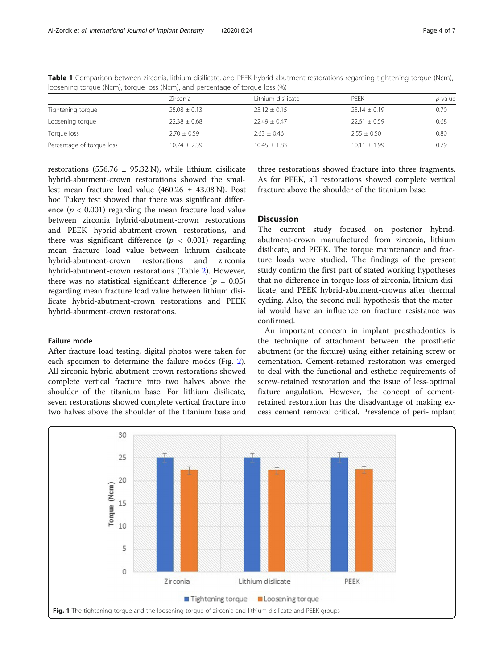|                           | Zirconia         | Lithium disilicate | PEEK             | <i>p</i> value |
|---------------------------|------------------|--------------------|------------------|----------------|
| Tightening torque         | $25.08 \pm 0.13$ | $25.12 \pm 0.15$   | $25.14 \pm 0.19$ | 0.70           |
| Loosening torque          | $22.38 \pm 0.68$ | $22.49 + 0.47$     | $22.61 \pm 0.59$ | 0.68           |
| Torque loss               | $2.70 \pm 0.59$  | $2.63 \pm 0.46$    | $2.55 \pm 0.50$  | 0.80           |
| Percentage of torque loss | $10.74 \pm 2.39$ | $10.45 \pm 1.83$   | $10.11 \pm 1.99$ | 0.79           |

<span id="page-3-0"></span>Table 1 Comparison between zirconia, lithium disilicate, and PEEK hybrid-abutment-restorations regarding tightening torque (Ncm), loosening torque (Ncm), torque loss (Ncm), and percentage of torque loss (%)

restorations (556.76  $\pm$  95.32 N), while lithium disilicate hybrid-abutment-crown restorations showed the smallest mean fracture load value (460.26 ± 43.08 N). Post hoc Tukey test showed that there was significant difference ( $p < 0.001$ ) regarding the mean fracture load value between zirconia hybrid-abutment-crown restorations and PEEK hybrid-abutment-crown restorations, and there was significant difference ( $p < 0.001$ ) regarding mean fracture load value between lithium disilicate hybrid-abutment-crown restorations and zirconia hybrid-abutment-crown restorations (Table [2](#page-4-0)). However, there was no statistical significant difference ( $p = 0.05$ ) regarding mean fracture load value between lithium disilicate hybrid-abutment-crown restorations and PEEK hybrid-abutment-crown restorations.

## Failure mode

After fracture load testing, digital photos were taken for each specimen to determine the failure modes (Fig. [2](#page-4-0)). All zirconia hybrid-abutment-crown restorations showed complete vertical fracture into two halves above the shoulder of the titanium base. For lithium disilicate, seven restorations showed complete vertical fracture into two halves above the shoulder of the titanium base and

three restorations showed fracture into three fragments. As for PEEK, all restorations showed complete vertical fracture above the shoulder of the titanium base.

## **Discussion**

The current study focused on posterior hybridabutment-crown manufactured from zirconia, lithium disilicate, and PEEK. The torque maintenance and fracture loads were studied. The findings of the present study confirm the first part of stated working hypotheses that no difference in torque loss of zirconia, lithium disilicate, and PEEK hybrid-abutment-crowns after thermal cycling. Also, the second null hypothesis that the material would have an influence on fracture resistance was confirmed.

An important concern in implant prosthodontics is the technique of attachment between the prosthetic abutment (or the fixture) using either retaining screw or cementation. Cement-retained restoration was emerged to deal with the functional and esthetic requirements of screw-retained restoration and the issue of less-optimal fixture angulation. However, the concept of cementretained restoration has the disadvantage of making excess cement removal critical. Prevalence of peri-implant

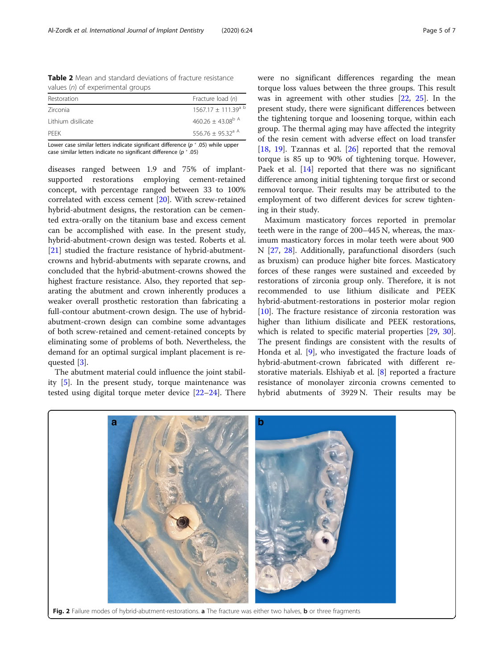<span id="page-4-0"></span>Table 2 Mean and standard deviations of fracture resistance values (n) of experimental groups

| Fracture load (n)                 |
|-----------------------------------|
|                                   |
| $1567.17 + 111.39$ <sup>a b</sup> |
| $460.26 + 43.08^{b}$ A            |
| $556.76 + 95.32$ <sup>a A</sup>   |
|                                   |

Lower case similar letters indicate significant difference ( $p \text{ }^{\text{c}}$  .05) while upper case similar letters indicate no significant difference ( $p$   $>$  .05)

diseases ranged between 1.9 and 75% of implantsupported restorations employing cement-retained concept, with percentage ranged between 33 to 100% correlated with excess cement [[20\]](#page-6-0). With screw-retained hybrid-abutment designs, the restoration can be cemented extra-orally on the titanium base and excess cement can be accomplished with ease. In the present study, hybrid-abutment-crown design was tested. Roberts et al. [[21\]](#page-6-0) studied the fracture resistance of hybrid-abutmentcrowns and hybrid-abutments with separate crowns, and concluded that the hybrid-abutment-crowns showed the highest fracture resistance. Also, they reported that separating the abutment and crown inherently produces a weaker overall prosthetic restoration than fabricating a full-contour abutment-crown design. The use of hybridabutment-crown design can combine some advantages of both screw-retained and cement-retained concepts by eliminating some of problems of both. Nevertheless, the demand for an optimal surgical implant placement is requested [\[3](#page-5-0)].

The abutment material could influence the joint stability [\[5\]](#page-5-0). In the present study, torque maintenance was tested using digital torque meter device [\[22](#page-6-0)–[24\]](#page-6-0). There

were no significant differences regarding the mean torque loss values between the three groups. This result was in agreement with other studies [[22,](#page-6-0) [25\]](#page-6-0). In the present study, there were significant differences between the tightening torque and loosening torque, within each group. The thermal aging may have affected the integrity of the resin cement with adverse effect on load transfer [[18,](#page-6-0) [19](#page-6-0)]. Tzannas et al.  $[26]$  $[26]$  reported that the removal torque is 85 up to 90% of tightening torque. However, Paek et al. [[14\]](#page-6-0) reported that there was no significant difference among initial tightening torque first or second removal torque. Their results may be attributed to the employment of two different devices for screw tightening in their study.

Maximum masticatory forces reported in premolar teeth were in the range of 200–445 N, whereas, the maximum masticatory forces in molar teeth were about 900 N [[27](#page-6-0), [28\]](#page-6-0). Additionally, parafunctional disorders (such as bruxism) can produce higher bite forces. Masticatory forces of these ranges were sustained and exceeded by restorations of zirconia group only. Therefore, it is not recommended to use lithium disilicate and PEEK hybrid-abutment-restorations in posterior molar region [[10\]](#page-6-0). The fracture resistance of zirconia restoration was higher than lithium disilicate and PEEK restorations, which is related to specific material properties [\[29](#page-6-0), [30](#page-6-0)]. The present findings are consistent with the results of Honda et al. [[9](#page-6-0)], who investigated the fracture loads of hybrid-abutment-crown fabricated with different restorative materials. Elshiyab et al. [\[8](#page-5-0)] reported a fracture resistance of monolayer zirconia crowns cemented to hybrid abutments of 3929 N. Their results may be

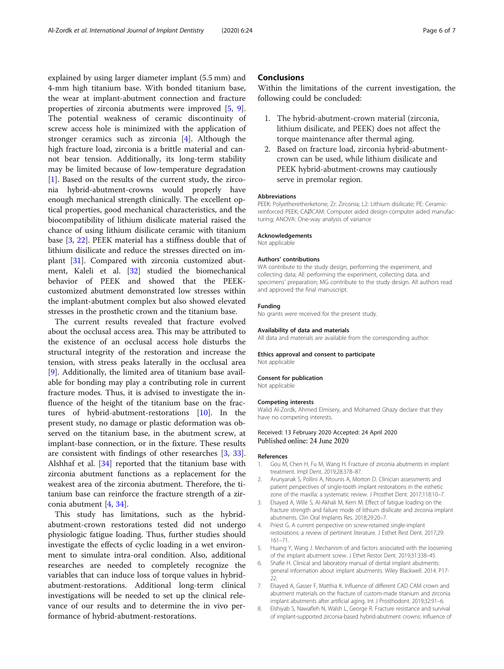<span id="page-5-0"></span>explained by using larger diameter implant (5.5 mm) and 4-mm high titanium base. With bonded titanium base, the wear at implant-abutment connection and fracture properties of zirconia abutments were improved [5, [9](#page-6-0)]. The potential weakness of ceramic discontinuity of screw access hole is minimized with the application of stronger ceramics such as zirconia [4]. Although the high fracture load, zirconia is a brittle material and cannot bear tension. Additionally, its long-term stability may be limited because of low-temperature degradation [1]. Based on the results of the current study, the zirconia hybrid-abutment-crowns would properly have enough mechanical strength clinically. The excellent optical properties, good mechanical characteristics, and the biocompatibility of lithium disilicate material raised the chance of using lithium disilicate ceramic with titanium base [3, [22\]](#page-6-0). PEEK material has a stiffness double that of lithium disilicate and reduce the stresses directed on implant [\[31](#page-6-0)]. Compared with zirconia customized abutment, Kaleli et al. [\[32](#page-6-0)] studied the biomechanical behavior of PEEK and showed that the PEEKcustomized abutment demonstrated low stresses within the implant-abutment complex but also showed elevated stresses in the prosthetic crown and the titanium base.

The current results revealed that fracture evolved about the occlusal access area. This may be attributed to the existence of an occlusal access hole disturbs the structural integrity of the restoration and increase the tension, with stress peaks laterally in the occlusal area [[9\]](#page-6-0). Additionally, the limited area of titanium base available for bonding may play a contributing role in current fracture modes. Thus, it is advised to investigate the influence of the height of the titanium base on the fractures of hybrid-abutment-restorations [[10\]](#page-6-0). In the present study, no damage or plastic deformation was observed on the titanium base, in the abutment screw, at implant-base connection, or in the fixture. These results are consistent with findings of other researches [3, [33](#page-6-0)]. Alshhaf et al. [[34](#page-6-0)] reported that the titanium base with zirconia abutment functions as a replacement for the weakest area of the zirconia abutment. Therefore, the titanium base can reinforce the fracture strength of a zirconia abutment [4, [34\]](#page-6-0).

This study has limitations, such as the hybridabutment-crown restorations tested did not undergo physiologic fatigue loading. Thus, further studies should investigate the effects of cyclic loading in a wet environment to simulate intra-oral condition. Also, additional researches are needed to completely recognize the variables that can induce loss of torque values in hybridabutment-restorations. Additional long-term clinical investigations will be needed to set up the clinical relevance of our results and to determine the in vivo performance of hybrid-abutment-restorations.

## **Conclusions**

Within the limitations of the current investigation, the following could be concluded:

- 1. The hybrid-abutment-crown material (zirconia, lithium disilicate, and PEEK) does not affect the torque maintenance after thermal aging.
- 2. Based on fracture load, zirconia hybrid-abutmentcrown can be used, while lithium disilicate and PEEK hybrid-abutment-crowns may cautiously serve in premolar region.

#### **Abbreviations**

PEEK: Polyetheretherketone; Zr: Zirconia; L2: Lithium disilicate; PE: Ceramicreinforced PEEK; CADCAM: Computer aided design-computer aided manufacturing; ANOVA: One-way analysis of variance

#### Acknowledgements

Not applicable

#### Authors' contributions

WA contribute to the study design, performing the experiment, and collecting data; AE performing the experiment, collecting data, and specimens' preparation; MG contribute to the study design. All authors read and approved the final manuscript.

#### Funding

No grants were received for the present study.

#### Availability of data and materials

All data and materials are available from the corresponding author.

### Ethics approval and consent to participate

Not applicable

#### Consent for publication

Not applicable

#### Competing interests

Walid Al-Zordk, Ahmed Elmisery, and Mohamed Ghazy declare that they have no competing interests.

#### Received: 13 February 2020 Accepted: 24 April 2020 Published online: 24 June 2020

#### References

- 1. Gou M, Chen H, Fu M, Wang H. Fracture of zirconia abutments in implant treatment. Impl Dent. 2019;28:378–87.
- 2. Arunyanak S, Pollini A, Ntounis A, Morton D. Clinician assessments and patient perspectives of single-tooth implant restorations in the esthetic zone of the maxilla: a systematic review. J Prosthet Dent. 2017;118:10–7.
- 3. Elsayed A, Wille S, Al-Akhali M, Kern M. Effect of fatigue loading on the fracture strength and failure mode of lithium disilicate and zirconia implant abutments. Clin Oral Implants Res. 2018;29:20–7.
- 4. Priest G. A current perspective on screw-retained single-implant restorations: a review of pertinent literature. J Esthet Rest Dent. 2017;29: 161–71.
- Huang Y, Wang J. Mechanism of and factors associated with the loosening of the implant abutment screw. J Ethet Restor Dent. 2019;31:338–45.
- 6. Shafie H. Clinical and laboratory manual of dental implant abutments: general information about implant abutments. Wiley Blackwell. 2014. P17- 22.
- 7. Elsayed A, Gasser F, Matthia K. Influence of different CAD CAM crown and abutment materials on the fracture of custom-made titanium and zirconia implant abutments after artificial aging. Int J Prosthodont. 2019;32:91–6.
- 8. Elshiyab S, Nawafleh N, Walsh L, George R. Fracture resistance and survival of implant-supported zirconia-based hybrid-abutment crowns: influence of